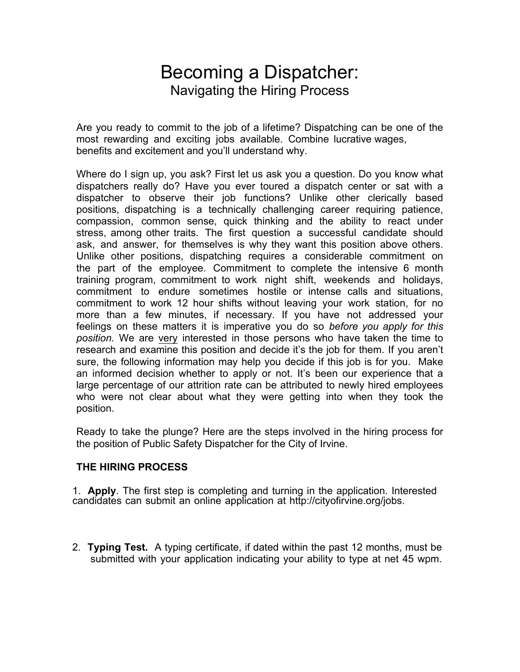## Becoming a Dispatcher: Navigating the Hiring Process

Are you ready to commit to the job of a lifetime? Dispatching can be one of the most rewarding and exciting jobs available. Combine lucrative wages, benefits and excitement and you'll understand why.

Where do I sign up, you ask? First let us ask you a question. Do you know what dispatchers really do? Have you ever toured a dispatch center or sat with a dispatcher to observe their job functions? Unlike other clerically based positions, dispatching is a technically challenging career requiring patience, compassion, common sense, quick thinking and the ability to react under stress, among other traits. The first question a successful candidate should ask, and answer, for themselves is why they want this position above others. Unlike other positions, dispatching requires a considerable commitment on the part of the employee. Commitment to complete the intensive 6 month training program, commitment to work night shift, weekends and holidays, commitment to endure sometimes hostile or intense calls and situations, commitment to work 12 hour shifts without leaving your work station, for no more than a few minutes, if necessary. If you have not addressed your feelings on these matters it is imperative you do so *before you apply for this position.* We are very interested in those persons who have taken the time to research and examine this position and decide it's the job for them. If you aren't sure, the following information may help you decide if this job is for you. Make an informed decision whether to apply or not. It's been our experience that a large percentage of our attrition rate can be attributed to newly hired employees who were not clear about what they were getting into when they took the position.

Ready to take the plunge? Here are the steps involved in the hiring process for the position of Public Safety Dispatcher for the City of Irvine.

## **THE HIRING PROCESS**

1. **Apply**. The first step is completing and turning in the application. Interested candidates can submit an online application at http://cityofirvine.org/jobs.

2. **Typing Test.** A typing certificate, if dated within the past 12 months, must be submitted with your application indicating your ability to type at net 45 wpm.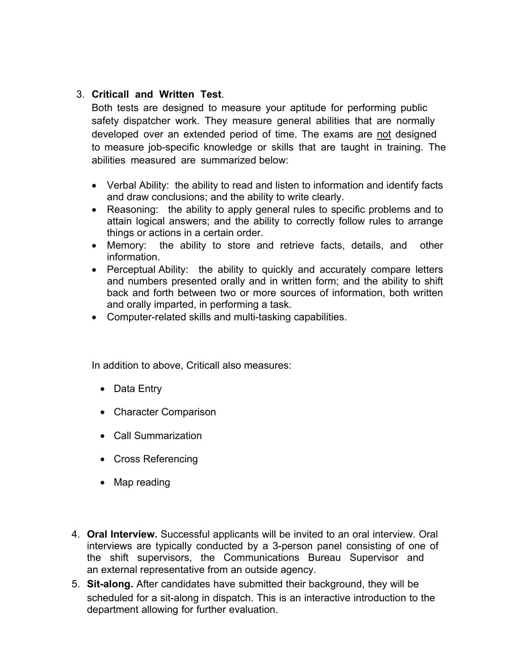## 3. **Criticall and Written Test**.

Both tests are designed to measure your aptitude for performing public safety dispatcher work. They measure general abilities that are normally developed over an extended period of time. The exams are not designed to measure job-specific knowledge or skills that are taught in training. The abilities measured are summarized below:

- Verbal Ability: the ability to read and listen to information and identify facts and draw conclusions; and the ability to write clearly.
- Reasoning: the ability to apply general rules to specific problems and to attain logical answers; and the ability to correctly follow rules to arrange things or actions in a certain order.
- Memory: the ability to store and retrieve facts, details, and other information.
- Perceptual Ability: the ability to quickly and accurately compare letters and numbers presented orally and in written form; and the ability to shift back and forth between two or more sources of information, both written and orally imparted, in performing a task.
- Computer-related skills and multi-tasking capabilities.

In addition to above, Criticall also measures:

- Data Entry
- Character Comparison
- Call Summarization
- Cross Referencing
- Map reading
- 4. **Oral Interview.** Successful applicants will be invited to an oral interview. Oral interviews are typically conducted by a 3-person panel consisting of one of the shift supervisors, the Communications Bureau Supervisor and an external representative from an outside agency.
- 5. **Sit-along.** After candidates have submitted their background, they will be scheduled for a sit-along in dispatch. This is an interactive introduction to the department allowing for further evaluation.